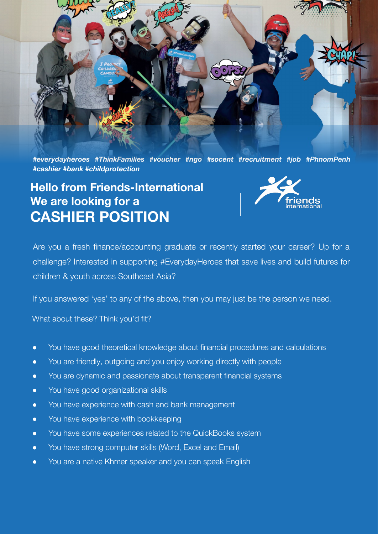

*#everydayheroes #ThinkFamilies #voucher #ngo #socent #recruitment #job #PhnomPenh #cashier #bank #childprotection*

## **Hello from Friends-International We are looking for a CASHIER POSITION**



Are you a fresh finance/accounting graduate or recently started your career? Up for a challenge? Interested in supporting #EverydayHeroes that save lives and build futures for children & youth across Southeast Asia?

If you answered 'yes' to any of the above, then you may just be the person we need.

What about these? Think you'd fit?

- You have good theoretical knowledge about financial procedures and calculations
- You are friendly, outgoing and you enjoy working directly with people
- You are dynamic and passionate about transparent financial systems
- You have good organizational skills
- You have experience with cash and bank management
- You have experience with bookkeeping
- You have some experiences related to the QuickBooks system
- You have strong computer skills (Word, Excel and Email)
- You are a native Khmer speaker and you can speak English